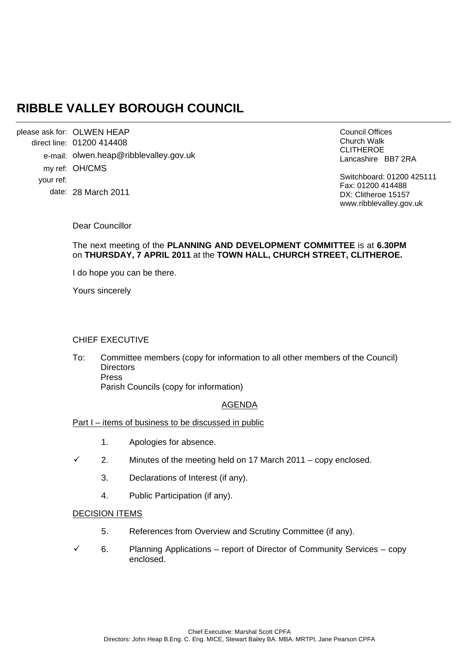# **RIBBLE VALLEY BOROUGH COUNCIL**

please ask for: OLWEN HEAP direct line: 01200 414408 e-mail: olwen.heap@ribblevalley.gov.uk my ref: OH/CMS your ref: date: 28 March 2011

Council Offices Church Walk CLITHEROE Lancashire BB7 2RA

Switchboard: 01200 425111 Fax: 01200 414488 DX: Clitheroe 15157 www.ribblevalley.gov.uk

Dear Councillor

The next meeting of the **PLANNING AND DEVELOPMENT COMMITTEE** is at **6.30PM** on **THURSDAY, 7 APRIL 2011** at the **TOWN HALL, CHURCH STREET, CLITHEROE.** 

I do hope you can be there.

Yours sincerely

## CHIEF EXECUTIVE

To: Committee members (copy for information to all other members of the Council) **Directors**  Press Parish Councils (copy for information)

## AGENDA

- Part I items of business to be discussed in public
	- 1. Apologies for absence.
	- 2. Minutes of the meeting held on 17 March 2011 copy enclosed.
		- 3. Declarations of Interest (if any).
		- 4. Public Participation (if any).

#### DECISION ITEMS

- 5. References from Overview and Scrutiny Committee (if any).
- 6. Planning Applications report of Director of Community Services copy enclosed.